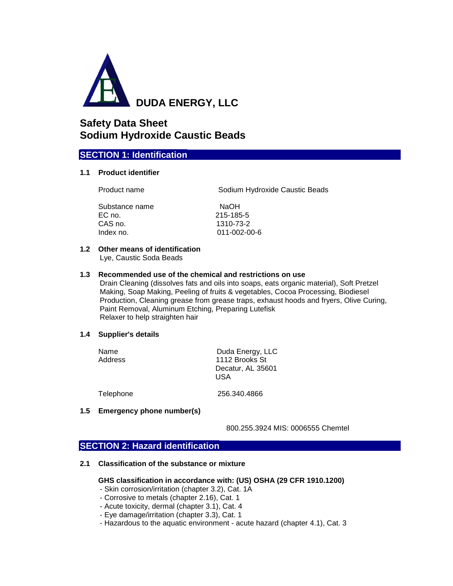

# **Safety Data Sheet Sodium Hydroxide Caustic Beads**

# **SECTION 1: Identification**

### **1.1 Product identifier**

Product name Sodium Hydroxide Caustic Beads

Substance name NaOH EC no. 215-185-5 CAS no. 1310-73-2 Index no. 011-002-00-6

## **1.2 Other means of identification**

Lye, Caustic Soda Beads

## **1.3 Recommended use of the chemical and restrictions on use**

Drain Cleaning (dissolves fats and oils into soaps, eats organic material), Soft Pretzel Making, Soap Making, Peeling of fruits & vegetables, Cocoa Processing, Biodiesel Production, Cleaning grease from grease traps, exhaust hoods and fryers, Olive Curing, Paint Removal, Aluminum Etching, Preparing Lutefisk Relaxer to help straighten hair

### **1.4 Supplier's details**

| Name<br>Address | Duda Energy, LLC<br>1112 Brooks St<br>Decatur, AL 35601<br>USA |
|-----------------|----------------------------------------------------------------|
| Telephone       | 256.340.4866                                                   |

## **1.5 Emergency phone number(s)**

800.255.3924 MIS: 0006555 Chemtel

# **SECTION 2: Hazard identification**

**2.1 Classification of the substance or mixture**

## **GHS classification in accordance with: (US) OSHA (29 CFR 1910.1200)**

- Skin corrosion/irritation (chapter 3.2), Cat. 1A
- Corrosive to metals (chapter 2.16), Cat. 1
- Acute toxicity, dermal (chapter 3.1), Cat. 4
- Eye damage/irritation (chapter 3.3), Cat. 1
- Hazardous to the aquatic environment acute hazard (chapter 4.1), Cat. 3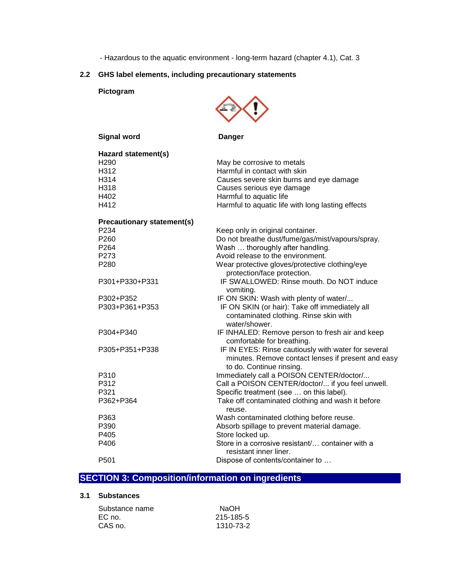- Hazardous to the aquatic environment - long-term hazard (chapter 4.1), Cat. 3

# **2.2 GHS label elements, including precautionary statements**

 **Pictogram**



| <b>Signal word</b>                | <b>Danger</b>                                                                                                                         |
|-----------------------------------|---------------------------------------------------------------------------------------------------------------------------------------|
| Hazard statement(s)               |                                                                                                                                       |
| H <sub>290</sub>                  | May be corrosive to metals                                                                                                            |
| H312                              | Harmful in contact with skin                                                                                                          |
| H314                              | Causes severe skin burns and eye damage                                                                                               |
| H318                              | Causes serious eye damage                                                                                                             |
| H402                              | Harmful to aquatic life                                                                                                               |
| H412                              | Harmful to aquatic life with long lasting effects                                                                                     |
| <b>Precautionary statement(s)</b> |                                                                                                                                       |
| P234                              | Keep only in original container.                                                                                                      |
| P260                              | Do not breathe dust/fume/gas/mist/vapours/spray.                                                                                      |
| P264                              | Wash  thoroughly after handling.                                                                                                      |
| P273                              | Avoid release to the environment.                                                                                                     |
| P280                              | Wear protective gloves/protective clothing/eye<br>protection/face protection.                                                         |
| P301+P330+P331                    | IF SWALLOWED: Rinse mouth. Do NOT induce<br>vomiting.                                                                                 |
| P302+P352                         | IF ON SKIN: Wash with plenty of water/                                                                                                |
| P303+P361+P353                    | IF ON SKIN (or hair): Take off immediately all<br>contaminated clothing. Rinse skin with<br>water/shower.                             |
| P304+P340                         | IF INHALED: Remove person to fresh air and keep<br>comfortable for breathing.                                                         |
| P305+P351+P338                    | IF IN EYES: Rinse cautiously with water for several<br>minutes. Remove contact lenses if present and easy<br>to do. Continue rinsing. |
| P310                              | Immediately call a POISON CENTER/doctor/                                                                                              |
| P312                              | Call a POISON CENTER/doctor/ if you feel unwell.                                                                                      |
| P321                              | Specific treatment (see  on this label).                                                                                              |
| P362+P364                         | Take off contaminated clothing and wash it before<br>reuse.                                                                           |
| P363                              | Wash contaminated clothing before reuse.                                                                                              |
| P390                              | Absorb spillage to prevent material damage.                                                                                           |
| P405                              | Store locked up.                                                                                                                      |
| P406                              | Store in a corrosive resistant/ container with a<br>resistant inner liner.                                                            |
| P501                              | Dispose of contents/container to                                                                                                      |

# **SECTION 3: Composition/information on ingredients**

## **3.1 Substances**

| Substance name | NaOH      |
|----------------|-----------|
| EC no.         | 215-185-5 |
| CAS no.        | 1310-73-2 |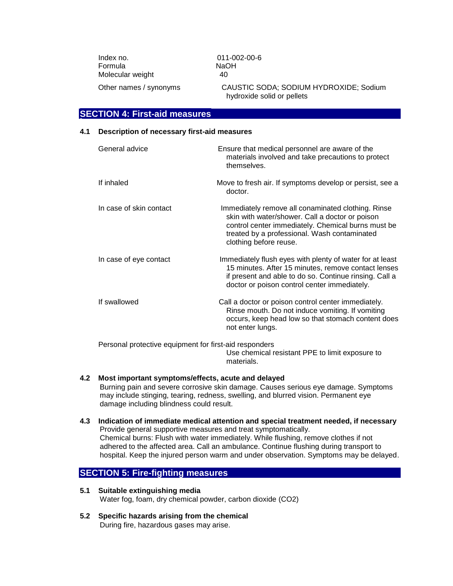Index no. 011-002-00-6 Formula NaOH Molecular weight 40

 Other names / synonyms CAUSTIC SODA; SODIUM HYDROXIDE; Sodium hydroxide solid or pellets

## **SECTION 4: First-aid measures**

#### **4.1 Description of necessary first-aid measures**

| General advice                                         | Ensure that medical personnel are aware of the<br>materials involved and take precautions to protect<br>themselves.                                                                                                                   |
|--------------------------------------------------------|---------------------------------------------------------------------------------------------------------------------------------------------------------------------------------------------------------------------------------------|
| If inhaled                                             | Move to fresh air. If symptoms develop or persist, see a<br>doctor.                                                                                                                                                                   |
| In case of skin contact                                | Immediately remove all conaminated clothing. Rinse<br>skin with water/shower. Call a doctor or poison<br>control center immediately. Chemical burns must be<br>treated by a professional. Wash contaminated<br>clothing before reuse. |
| In case of eye contact                                 | Immediately flush eyes with plenty of water for at least<br>15 minutes. After 15 minutes, remove contact lenses<br>if present and able to do so. Continue rinsing. Call a<br>doctor or poison control center immediately.             |
| If swallowed                                           | Call a doctor or poison control center immediately.<br>Rinse mouth. Do not induce vomiting. If vomiting<br>occurs, keep head low so that stomach content does<br>not enter lungs.                                                     |
| Personal protective equipment for first-aid responders | Use chemical resistant PPE to limit exposure to<br>materials.                                                                                                                                                                         |

### **4.2 Most important symptoms/effects, acute and delayed**

Burning pain and severe corrosive skin damage. Causes serious eye damage. Symptoms may include stinging, tearing, redness, swelling, and blurred vision. Permanent eye damage including blindness could result.

**4.3 Indication of immediate medical attention and special treatment needed, if necessary** Provide general supportive measures and treat symptomatically. Chemical burns: Flush with water immediately. While flushing, remove clothes if not adhered to the affected area. Call an ambulance. Continue flushing during transport to hospital. Keep the injured person warm and under observation. Symptoms may be delayed.

# **SECTION 5: Fire-fighting measures**

- **5.1 Suitable extinguishing media** Water fog, foam, dry chemical powder, carbon dioxide (CO2)
- **5.2 Specific hazards arising from the chemical** During fire, hazardous gases may arise.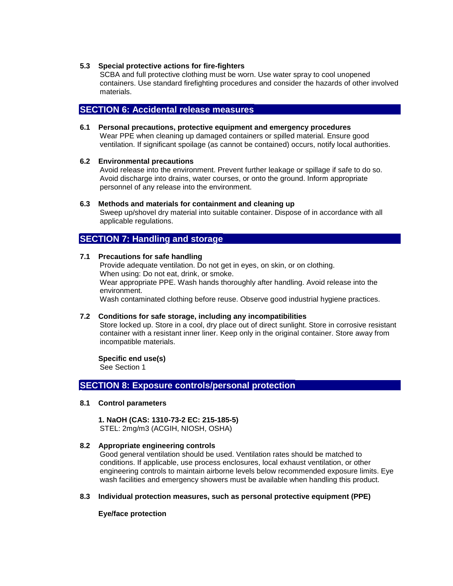#### **5.3 Special protective actions for fire-fighters**

SCBA and full protective clothing must be worn. Use water spray to cool unopened containers. Use standard firefighting procedures and consider the hazards of other involved materials.

## **SECTION 6: Accidental release measures**

**6.1 Personal precautions, protective equipment and emergency procedures** Wear PPE when cleaning up damaged containers or spilled material. Ensure good ventilation. If significant spoilage (as cannot be contained) occurs, notify local authorities.

### **6.2 Environmental precautions**

Avoid release into the environment. Prevent further leakage or spillage if safe to do so. Avoid discharge into drains, water courses, or onto the ground. Inform appropriate personnel of any release into the environment.

#### **6.3 Methods and materials for containment and cleaning up**

Sweep up/shovel dry material into suitable container. Dispose of in accordance with all applicable regulations.

## **SECTION 7: Handling and storage**

## **7.1 Precautions for safe handling**

Provide adequate ventilation. Do not get in eyes, on skin, or on clothing. When using: Do not eat, drink, or smoke. Wear appropriate PPE. Wash hands thoroughly after handling. Avoid release into the environment. Wash contaminated clothing before reuse. Observe good industrial hygiene practices.

### **7.2 Conditions for safe storage, including any incompatibilities**

Store locked up. Store in a cool, dry place out of direct sunlight. Store in corrosive resistant container with a resistant inner liner. Keep only in the original container. Store away from incompatible materials.

#### **Specific end use(s)**

See Section 1

## **SECTION 8: Exposure controls/personal protection**

#### **8.1 Control parameters**

 **1. NaOH (CAS: 1310-73-2 EC: 215-185-5)**  STEL: 2mg/m3 (ACGIH, NIOSH, OSHA)

### **8.2 Appropriate engineering controls**

Good general ventilation should be used. Ventilation rates should be matched to conditions. If applicable, use process enclosures, local exhaust ventilation, or other engineering controls to maintain airborne levels below recommended exposure limits. Eye wash facilities and emergency showers must be available when handling this product.

#### **8.3 Individual protection measures, such as personal protective equipment (PPE)**

 **Eye/face protection**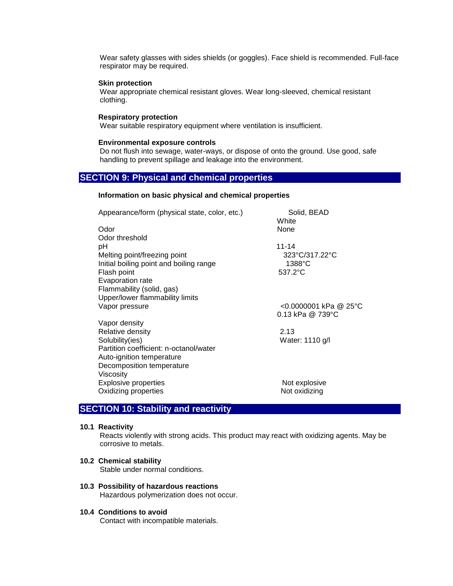Wear safety glasses with sides shields (or goggles). Face shield is recommended. Full-face respirator may be required.

#### **Skin protection**

Wear appropriate chemical resistant gloves. Wear long-sleeved, chemical resistant clothing.

#### **Respiratory protection**

Wear suitable respiratory equipment where ventilation is insufficient.

#### **Environmental exposure controls**

Do not flush into sewage, water-ways, or dispose of onto the ground. Use good, safe handling to prevent spillage and leakage into the environment.

## **SECTION 9: Physical and chemical properties**

#### **Information on basic physical and chemical properties**

| Appearance/form (physical state, color, etc.) | Solid, BEAD<br>White                                 |
|-----------------------------------------------|------------------------------------------------------|
| Odor                                          | None                                                 |
| Odor threshold                                |                                                      |
| рH                                            | $11 - 14$                                            |
| Melting point/freezing point                  | 323°C/317.22°C                                       |
| Initial boiling point and boiling range       | $1388^{\circ}$ C                                     |
| Flash point                                   | 537.2°C                                              |
| Evaporation rate                              |                                                      |
| Flammability (solid, gas)                     |                                                      |
| Upper/lower flammability limits               |                                                      |
| Vapor pressure                                | <0.0000001 kPa @ 25°C<br>0.13 kPa @ 739 $^{\circ}$ C |
| Vapor density                                 |                                                      |
| Relative density                              | 2.13                                                 |
| Solubility(ies)                               | Water: 1110 g/l                                      |
| Partition coefficient: n-octanol/water        |                                                      |
| Auto-ignition temperature                     |                                                      |
| Decomposition temperature                     |                                                      |
| Viscosity                                     |                                                      |
| Explosive properties                          | Not explosive                                        |
| Oxidizing properties                          | Not oxidizing                                        |
|                                               |                                                      |

# **SECTION 10: Stability and reactivity**

#### **10.1 Reactivity**

Reacts violently with strong acids. This product may react with oxidizing agents. May be corrosive to metals.

#### **10.2 Chemical stability**

Stable under normal conditions.

## **10.3 Possibility of hazardous reactions**

Hazardous polymerization does not occur.

## **10.4 Conditions to avoid**

Contact with incompatible materials.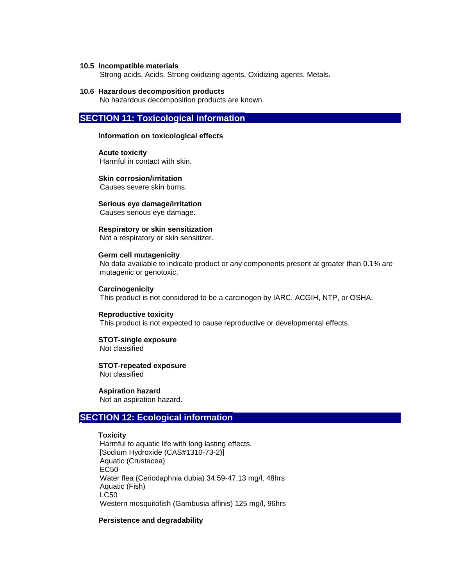#### **10.5 Incompatible materials**

Strong acids. Acids. Strong oxidizing agents. Oxidizing agents. Metals.

## **10.6 Hazardous decomposition products**

No hazardous decomposition products are known.

# **SECTION 11: Toxicological information**

#### **Information on toxicological effects**

 **Acute toxicity** Harmful in contact with skin.

 **Skin corrosion/irritation** Causes severe skin burns.

 **Serious eye damage/irritation** Causes serious eye damage.

#### **Respiratory or skin sensitization**

Not a respiratory or skin sensitizer.

# **Germ cell mutagenicity**

No data available to indicate product or any components present at greater than 0.1% are mutagenic or genotoxic.

#### **Carcinogenicity**

This product is not considered to be a carcinogen by IARC, ACGIH, NTP, or OSHA.

#### **Reproductive toxicity**

This product is not expected to cause reproductive or developmental effects.

#### **STOT-single exposure** Not classified

 **STOT-repeated exposure** Not classified

## **Aspiration hazard**

Not an aspiration hazard.

## **SECTION 12: Ecological information**

#### **Toxicity**

Harmful to aquatic life with long lasting effects. [Sodium Hydroxide (CAS#1310-73-2)] Aquatic (Crustacea) EC50 Water flea (Ceriodaphnia dubia) 34.59-47.13 mg/l, 48hrs Aquatic (Fish) LC50 Western mosquitofish (Gambusia affinis) 125 mg/l, 96hrs

## **Persistence and degradability**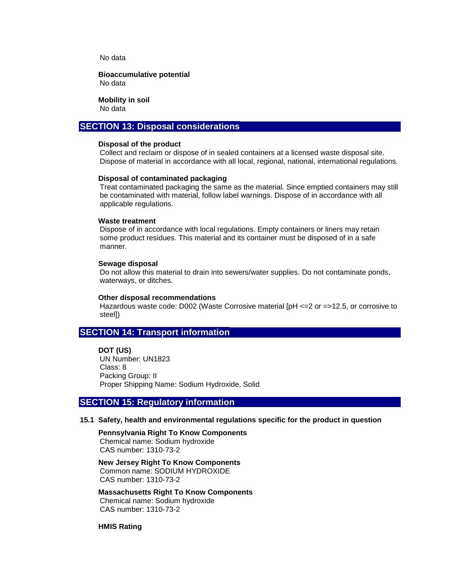No data

 **Bioaccumulative potential** No data

 **Mobility in soil**

No data

## **SECTION 13: Disposal considerations**

#### **Disposal of the product**

Collect and reclaim or dispose of in sealed containers at a licensed waste disposal site. Dispose of material in accordance with all local, regional, national, international regulations.

#### **Disposal of contaminated packaging**

Treat contaminated packaging the same as the material. Since emptied containers may still be contaminated with material, follow label warnings. Dispose of in accordance with all applicable regulations.

#### **Waste treatment**

Dispose of in accordance with local regulations. Empty containers or liners may retain some product residues. This material and its container must be disposed of in a safe manner.

#### **Sewage disposal**

Do not allow this material to drain into sewers/water supplies. Do not contaminate ponds, waterways, or ditches.

#### **Other disposal recommendations**

Hazardous waste code: D002 (Waste Corrosive material [pH <=2 or =>12.5, or corrosive to steel])

## **SECTION 14: Transport information**

 **DOT (US)** UN Number: UN1823 Class: 8 Packing Group: II Proper Shipping Name: Sodium Hydroxide, Solid

## **SECTION 15: Regulatory information**

#### **15.1 Safety, health and environmental regulations specific for the product in question**

 **Pennsylvania Right To Know Components** Chemical name: Sodium hydroxide CAS number: 1310-73-2

 **New Jersey Right To Know Components** Common name: SODIUM HYDROXIDE CAS number: 1310-73-2

 **Massachusetts Right To Know Components** Chemical name: Sodium hydroxide CAS number: 1310-73-2

 **HMIS Rating**